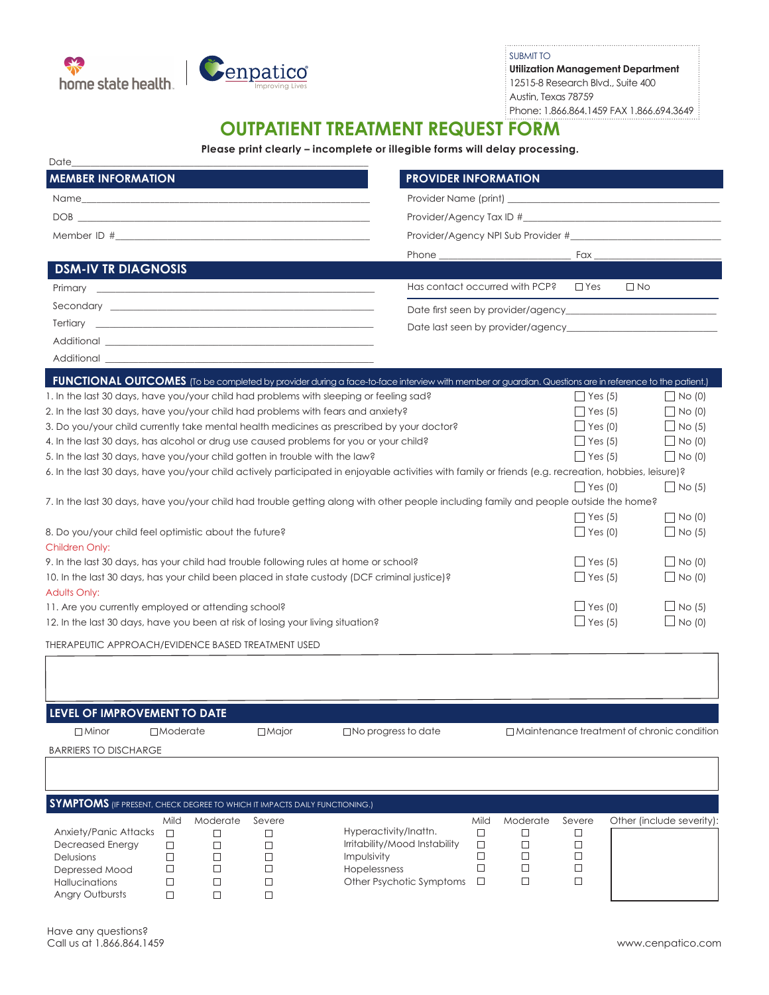



SUBMIT TO **Utilization Management Department** 12515-8 Research Blvd., Suite 400 Austin, Texas 78759 Phone: 1.866.864.1459 FAX 1.866.694.3649

## **OUTPATIENT TREATMENT REQUEST FORM**

**Please print clearly – incomplete or illegible forms will delay processing.**

| <b>MEMBER INFORMATION</b>                                                                                                                                                                                                                                                                                                                                                                                                                                                                           | <b>PROVIDER INFORMATION</b>                                                                                                                                                                                                    |
|-----------------------------------------------------------------------------------------------------------------------------------------------------------------------------------------------------------------------------------------------------------------------------------------------------------------------------------------------------------------------------------------------------------------------------------------------------------------------------------------------------|--------------------------------------------------------------------------------------------------------------------------------------------------------------------------------------------------------------------------------|
|                                                                                                                                                                                                                                                                                                                                                                                                                                                                                                     |                                                                                                                                                                                                                                |
| $DOB \begin{tabular}{l} \hline \multicolumn{3}{c} {\textbf{1}} \\ \multicolumn{3}{c} {\textbf{1}} \\ \multicolumn{3}{c} {\textbf{1}} \\ \multicolumn{3}{c} {\textbf{1}} \\ \multicolumn{3}{c} {\textbf{1}} \\ \multicolumn{3}{c} {\textbf{1}} \\ \multicolumn{3}{c} {\textbf{1}} \\ \multicolumn{3}{c} {\textbf{1}} \\ \multicolumn{3}{c} {\textbf{1}} \\ \multicolumn{3}{c} {\textbf{1}} \\ \multicolumn{3}{c} {\textbf{1}} \\ \multicolumn{3}{c} {\textbf{1}} \\ \multicolumn{3}{c} {\textbf{1}}$ |                                                                                                                                                                                                                                |
|                                                                                                                                                                                                                                                                                                                                                                                                                                                                                                     | Provider/Agency NPI Sub Provider #                                                                                                                                                                                             |
|                                                                                                                                                                                                                                                                                                                                                                                                                                                                                                     | Phone example and the state of the state of the state of the state of the state of the state of the state of the state of the state of the state of the state of the state of the state of the state of the state of the state |
| <b>DSM-IV TR DIAGNOSIS</b>                                                                                                                                                                                                                                                                                                                                                                                                                                                                          |                                                                                                                                                                                                                                |
|                                                                                                                                                                                                                                                                                                                                                                                                                                                                                                     | Has contact occurred with PCP? $\Box$ Yes $\Box$ No                                                                                                                                                                            |
|                                                                                                                                                                                                                                                                                                                                                                                                                                                                                                     |                                                                                                                                                                                                                                |
|                                                                                                                                                                                                                                                                                                                                                                                                                                                                                                     |                                                                                                                                                                                                                                |
|                                                                                                                                                                                                                                                                                                                                                                                                                                                                                                     |                                                                                                                                                                                                                                |

| Additional                                                                                                                                            |                 |                    |
|-------------------------------------------------------------------------------------------------------------------------------------------------------|-----------------|--------------------|
| FUNCTIONAL OUTCOMES (To be completed by provider during a face-to-face interview with member or guardian. Questions are in reference to the patient.) |                 |                    |
| 1. In the last 30 days, have you/your child had problems with sleeping or feeling sad?                                                                | $\vert$ Yes (5) | $N$ o $(0)$        |
| 2. In the last 30 days, have you/your child had problems with fears and anxiety?                                                                      | $\Box$ Yes (5)  | $\Box$ No (0)      |
| 3. Do you/your child currently take mental health medicines as prescribed by your doctor?                                                             | $\Box$ Yes (0)  | $\Box$ No (5)      |
| 4. In the last 30 days, has alcohol or drug use caused problems for you or your child?                                                                | $\Box$ Yes (5)  | $\Box$ No (0)      |
| 5. In the last 30 days, have you/your child gotten in trouble with the law?                                                                           | $\Box$ Yes (5)  | $\Box$ No (0)      |
| 6. In the last 30 days, have you/your child actively participated in enjoyable activities with family or friends (e.g. recreation, hobbies, leisure)? |                 |                    |
|                                                                                                                                                       | $ $ Yes (0)     | $\bigcup$ No (5)   |
| 7. In the last 30 days, have you/your child had trouble getting along with other people including family and people outside the home?                 |                 |                    |
|                                                                                                                                                       | $\vert$ Yes (5) | $\Box$ No (0)      |
| 8. Do you/your child feel optimistic about the future?                                                                                                | $\Box$ Yes (0)  | $\Box$ No (5)      |
| Children Only:                                                                                                                                        |                 |                    |
| 9. In the last 30 days, has your child had trouble following rules at home or school?                                                                 | $\Box$ Yes (5)  | N <sub>O</sub> (0) |
| 10. In the last 30 days, has your child been placed in state custody (DCF criminal justice)?                                                          | $\Box$ Yes (5)  | $\Box$ No (0)      |
| <b>Adults Only:</b>                                                                                                                                   |                 |                    |
| 11. Are you currently employed or attending school?                                                                                                   | $\Box$ Yes (0)  | $\Box$ No (5)      |
| 12. In the last 30 days, have you been at risk of losing your living situation?                                                                       | $\Box$ Yes (5)  | $\Box$ No (0)      |
| THERAPEUTIC APPROACH/EVIDENCE BASED TREATMENT USED                                                                                                    |                 |                    |

| LEVEL OF IMPROVEMENT TO DATE                                                      |                 |          |              |                               |        |                                                   |        |                           |  |  |
|-----------------------------------------------------------------------------------|-----------------|----------|--------------|-------------------------------|--------|---------------------------------------------------|--------|---------------------------|--|--|
| $\Box$ Minor                                                                      | $\Box$ Moderate |          | $\Box$ Major | $\Box$ No progress to date    |        | $\Box$ Maintenance treatment of chronic condition |        |                           |  |  |
| <b>BARRIERS TO DISCHARGE</b>                                                      |                 |          |              |                               |        |                                                   |        |                           |  |  |
|                                                                                   |                 |          |              |                               |        |                                                   |        |                           |  |  |
|                                                                                   |                 |          |              |                               |        |                                                   |        |                           |  |  |
| <b>SYMPTOMS</b> (IF PRESENT, CHECK DEGREE TO WHICH IT IMPACTS DAILY FUNCTIONING.) |                 |          |              |                               |        |                                                   |        |                           |  |  |
|                                                                                   | Mild            | Moderate | Severe       |                               | Mild   | Moderate                                          | Severe | Other (include severity): |  |  |
| <b>Anxiety/Panic Attacks</b>                                                      | $\Box$          | $\Box$   | П            | Hyperactivity/Inattn.         | $\Box$ | ப                                                 |        |                           |  |  |
| <b>Decreased Energy</b>                                                           | $\Box$          | □        |              | Irritability/Mood Instability | □      |                                                   |        |                           |  |  |
| <b>Delusions</b>                                                                  | $\Box$          | $\Box$   | □            | Impulsivity                   | □      |                                                   |        |                           |  |  |
| Depressed Mood                                                                    | $\Box$          | $\Box$   | □            | Hopelessness                  | г      |                                                   |        |                           |  |  |
| <b>Hallucinations</b>                                                             | $\Box$          | $\Box$   | □            | Other Psychotic Symptoms      | □      |                                                   |        |                           |  |  |
| Angry Outbursts                                                                   |                 |          |              |                               |        |                                                   |        |                           |  |  |

 $\sqrt{ }$